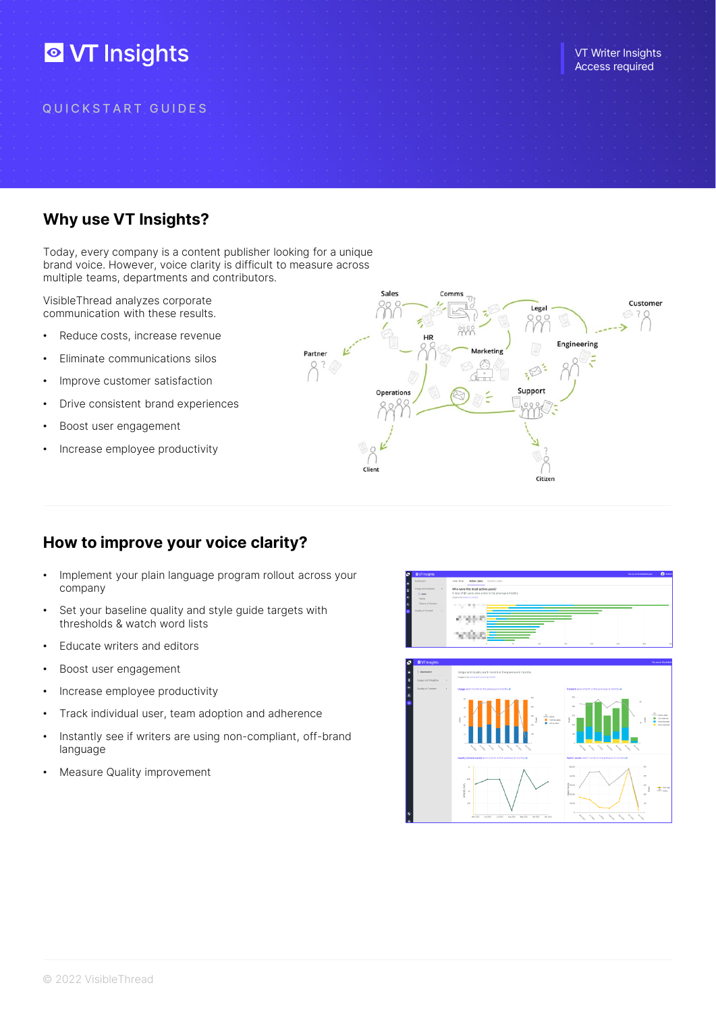# **O** VT Insights

Q U I C K S T A R T G U I D E S

# Why use VT Insights?

Today, every company is a content publisher looking for a unique brand voice. However, voice clarity is difficult to measure across multiple teams, departments and contributors.

VisibleThread analyzes corporate communication with these results.

- Reduce costs, increase revenue
- Eliminate communications silos
- Improve customer satisfaction
- Drive consistent brand experiences
- Boost user engagement
- Increase employee productivity



# How to improve your voice clarity?

- Implement your plain language program rollout across your company
- Set your baseline quality and style guide targets with thresholds & watch word lists
- Educate writers and editors
- Boost user engagement
- Increase employee productivity
- Track individual user, team adoption and adherence
- Instantly see if writers are using non-compliant, off-brand language
- Measure Quality improvement



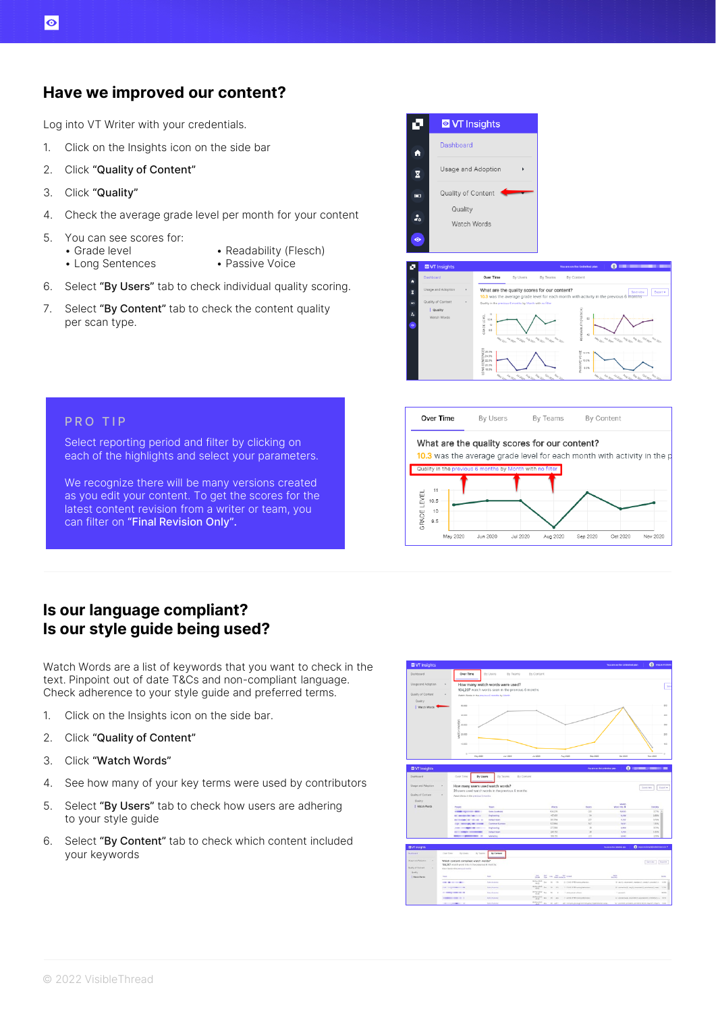#### Have we improved our content?

Log into VT Writer with your credentials.

- 1. Click on the Insights icon on the side bar
- 2. Click "Quality of Content"
- 3. Click "Quality"
- 4. Check the average grade level per month for your content
- 5. You can see scores for:
	-
	- Grade level Readability (Flesch)
	- Long Sentences Passive Voice
- 6. Select "By Users" tab to check individual quality scoring.
- 7. Select "By Content" tab to check the content quality per scan type.





Select reporting period and filter by clicking on each of the highlights and select your parameters.

We recognize there will be many versions created as you edit your content. To get the scores for the latest content revision from a writer or team, you can filter on "Final Revision Only".



### Is our language compliant? Is our style guide being used?

Watch Words are a list of keywords that you want to check in the text. Pinpoint out of date T&Cs and non-compliant language. Check adherence to your style guide and preferred terms.

- 1. Click on the Insights icon on the side bar.
- 2. Click "Quality of Content"
- 3. Click "Watch Words"
- 4. See how many of your key terms were used by contributors
- 5. Select "By Users" tab to check how users are adhering to your style guide
- 6. Select "By Content" tab to check which content included your keywords